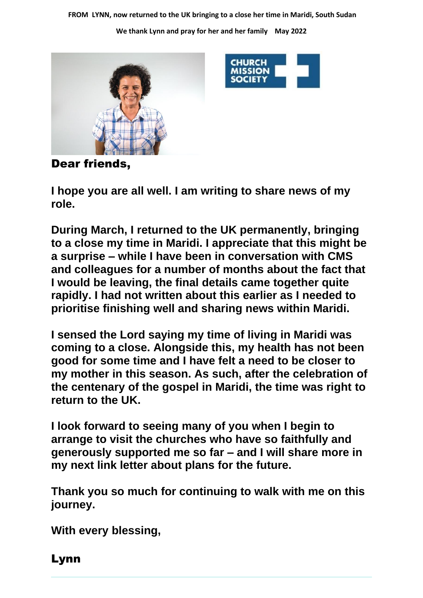**FROM LYNN, now returned to the UK bringing to a close her time in Maridi, South Sudan**

**We thank Lynn and pray for her and her family May 2022**





Dear friends,

**I hope you are all well. I am writing to share news of my role.** 

**During March, I returned to the UK permanently, bringing to a close my time in Maridi. I appreciate that this might be a surprise – while I have been in conversation with CMS and colleagues for a number of months about the fact that I would be leaving, the final details came together quite rapidly. I had not written about this earlier as I needed to prioritise finishing well and sharing news within Maridi.**

**I sensed the Lord saying my time of living in Maridi was coming to a close. Alongside this, my health has not been good for some time and I have felt a need to be closer to my mother in this season. As such, after the celebration of the centenary of the gospel in Maridi, the time was right to return to the UK.**

**I look forward to seeing many of you when I begin to arrange to visit the churches who have so faithfully and generously supported me so far – and I will share more in my next link letter about plans for the future.**

**Thank you so much for continuing to walk with me on this journey.**

**With every blessing,**

Lynn